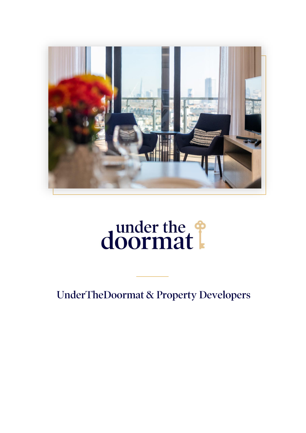

# doormat!

**UnderTheDoormat & Property Developers**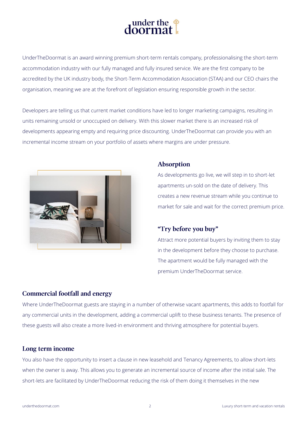

UnderTheDoormat is an award winning premium short-term rentals company, professionalising the short-term accommodation industry with our fully managed and fully insured service. We are the first company to be accredited by the UK industry body, the Short-Term Accommodation Association (STAA) and our CEO chairs the organisation, meaning we are at the forefront of legislation ensuring responsible growth in the sector.

Developers are telling us that current market conditions have led to longer marketing campaigns, resulting in units remaining unsold or unoccupied on delivery. With this slower market there is an increased risk of developments appearing empty and requiring price discounting. UnderTheDoormat can provide you with an incremental income stream on your portfolio of assets where margins are under pressure.



### **Absorption**

As developments go live, we will step in to short-let apartments un-sold on the date of delivery. This creates a new revenue stream while you continue to market for sale and wait for the correct premium price.

## "Try before you buy"

Attract more potential buyers by inviting them to stay in the development before they choose to purchase. The apartment would be fully managed with the premium UnderTheDoormat service.

# **Commercial footfall and energy**

Where UnderTheDoormat guests are staying in a number of otherwise vacant apartments, this adds to footfall for any commercial units in the development, adding a commercial uplift to these business tenants. The presence of these guests will also create a more lived-in environment and thriving atmosphere for potential buyers.

## Long term income

You also have the opportunity to insert a clause in new leasehold and Tenancy Agreements, to allow short-lets when the owner is away. This allows you to generate an incremental source of income after the initial sale. The short-lets are facilitated by UnderTheDoormat reducing the risk of them doing it themselves in the new